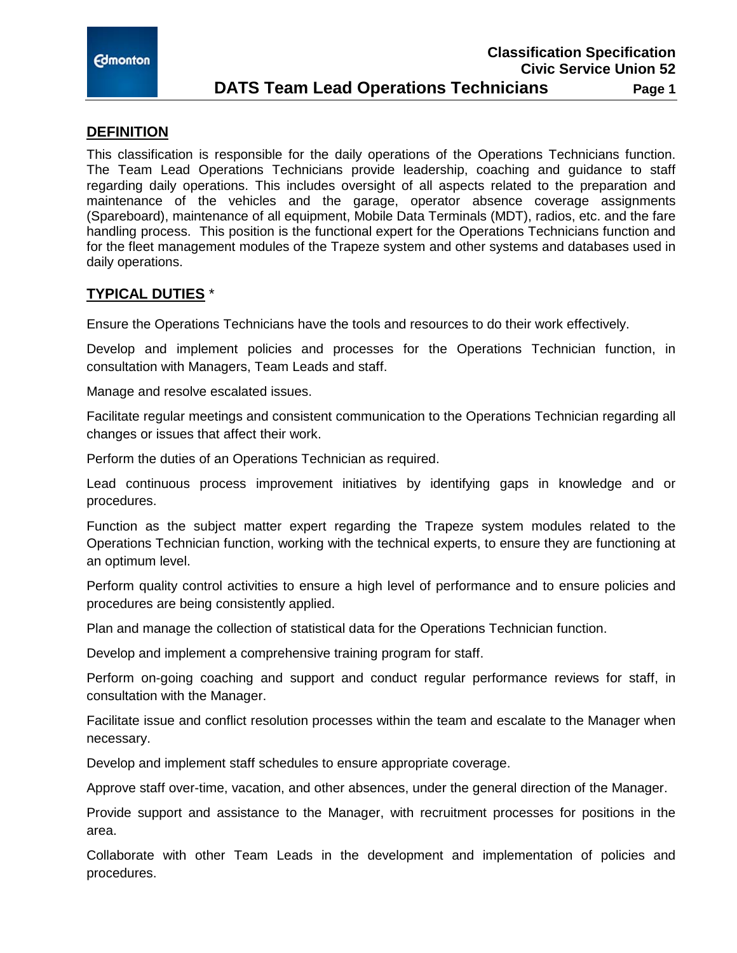

### **DEFINITION**

This classification is responsible for the daily operations of the Operations Technicians function. The Team Lead Operations Technicians provide leadership, coaching and guidance to staff regarding daily operations. This includes oversight of all aspects related to the preparation and maintenance of the vehicles and the garage, operator absence coverage assignments (Spareboard), maintenance of all equipment, Mobile Data Terminals (MDT), radios, etc. and the fare handling process. This position is the functional expert for the Operations Technicians function and for the fleet management modules of the Trapeze system and other systems and databases used in daily operations.

## **TYPICAL DUTIES** \*

Ensure the Operations Technicians have the tools and resources to do their work effectively.

Develop and implement policies and processes for the Operations Technician function, in consultation with Managers, Team Leads and staff.

Manage and resolve escalated issues.

Facilitate regular meetings and consistent communication to the Operations Technician regarding all changes or issues that affect their work.

Perform the duties of an Operations Technician as required.

Lead continuous process improvement initiatives by identifying gaps in knowledge and or procedures.

Function as the subject matter expert regarding the Trapeze system modules related to the Operations Technician function, working with the technical experts, to ensure they are functioning at an optimum level.

Perform quality control activities to ensure a high level of performance and to ensure policies and procedures are being consistently applied.

Plan and manage the collection of statistical data for the Operations Technician function.

Develop and implement a comprehensive training program for staff.

Perform on-going coaching and support and conduct regular performance reviews for staff, in consultation with the Manager.

Facilitate issue and conflict resolution processes within the team and escalate to the Manager when necessary.

Develop and implement staff schedules to ensure appropriate coverage.

Approve staff over-time, vacation, and other absences, under the general direction of the Manager.

Provide support and assistance to the Manager, with recruitment processes for positions in the area.

Collaborate with other Team Leads in the development and implementation of policies and procedures.